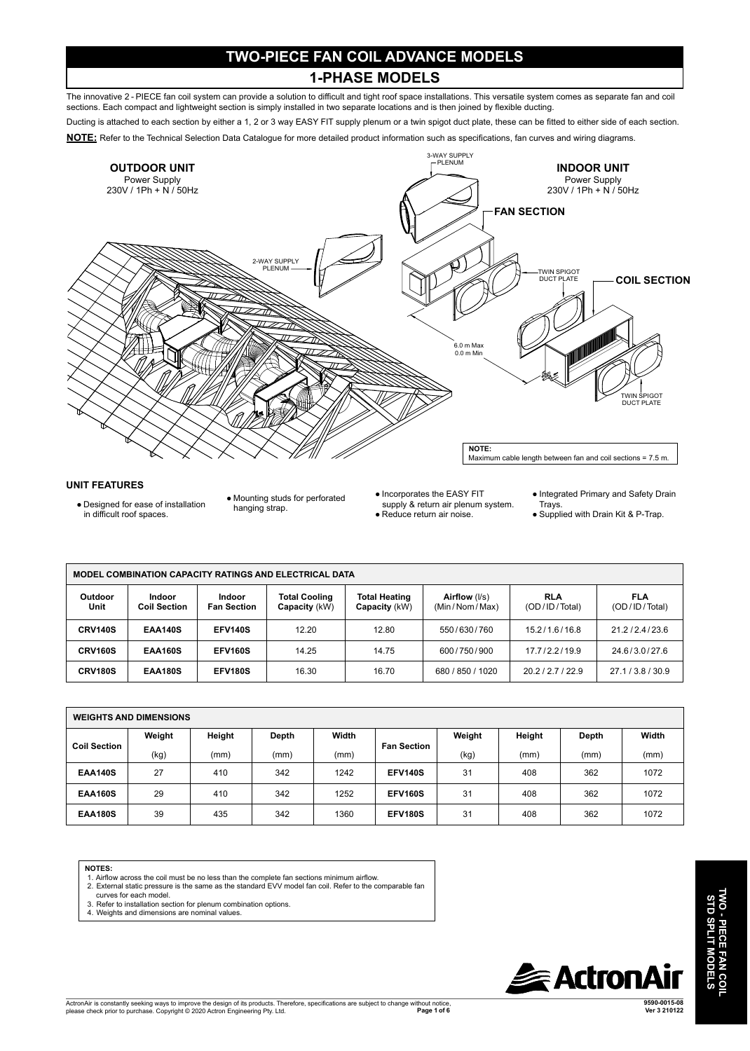## **TWO-PIECE FAN COIL ADVANCE MODELS**

## **1-PHASE MODELS**

The innovative 2 - PIECE fan coil system can provide a solution to difficult and tight roof space installations. This versatile system comes as separate fan and coil sections. Each compact and lightweight section is simply installed in two separate locations and is then joined by flexible ducting.

Ducting is attached to each section by either a 1, 2 or 3 way EASY FIT supply plenum or a twin spigot duct plate, these can be fitted to either side of each section.

**NOTE:** Refer to the Technical Selection Data Catalogue for more detailed product information such as specifications, fan curves and wiring diagrams.



### **UNIT FEATURES**

● Designed for ease of installation in difficult roof spaces.

● Mounting studs for perforated hanging strap.

● Incorporates the EASY FIT supply & return air plenum system.

- Reduce return air noise.
- Trays.
- 
- Integrated Primary and Safety Drain
- Supplied with Drain Kit & P-Trap.

| <b>MODEL COMBINATION CAPACITY RATINGS AND ELECTRICAL DATA</b> |                               |                                     |                                       |                                       |                                |                             |                             |  |
|---------------------------------------------------------------|-------------------------------|-------------------------------------|---------------------------------------|---------------------------------------|--------------------------------|-----------------------------|-----------------------------|--|
| Outdoor<br>Unit                                               | Indoor<br><b>Coil Section</b> | <b>Indoor</b><br><b>Fan Section</b> | <b>Total Cooling</b><br>Capacity (kW) | <b>Total Heating</b><br>Capacity (kW) | Airflow (I/s)<br>(Min/Nom/Max) | <b>RLA</b><br>(OD/ID/Total) | <b>FLA</b><br>(OD/ID/Total) |  |
| <b>CRV140S</b>                                                | EAA140S                       | <b>EFV140S</b>                      | 12.20                                 | 12.80                                 | 550/630/760                    | 15.2/1.6/16.8               | 21.2/2.4/23.6               |  |
| <b>CRV160S</b>                                                | EAA160S                       | <b>EFV160S</b>                      | 14.25                                 | 14.75                                 | 600/750/900                    | 17.7/2.2/19.9               | 24.6/3.0/27.6               |  |
| <b>CRV180S</b>                                                | EAA180S                       | <b>EFV180S</b>                      | 16.30                                 | 16.70                                 | 680 / 850 / 1020               | 20.2/2.7/22.9               | 27.1/3.8/30.9               |  |

| <b>WEIGHTS AND DIMENSIONS</b> |        |        |       |       |                    |        |        |       |       |  |
|-------------------------------|--------|--------|-------|-------|--------------------|--------|--------|-------|-------|--|
| <b>Coil Section</b>           | Weight | Height | Depth | Width | <b>Fan Section</b> | Weight | Height | Depth | Width |  |
|                               | (kg)   | (mm)   | (mm)  | (mm)  |                    | (kg)   | (mm)   | (mm)  | (mm)  |  |
| <b>EAA140S</b>                | 27     | 410    | 342   | 1242  | <b>EFV140S</b>     | 31     | 408    | 362   | 1072  |  |
| <b>EAA160S</b>                | 29     | 410    | 342   | 1252  | <b>EFV160S</b>     | 31     | 408    | 362   | 1072  |  |
| <b>EAA180S</b>                | 39     | 435    | 342   | 1360  | <b>EFV180S</b>     | 31     | 408    | 362   | 1072  |  |

**NOTES:**

- 1. Airflow across the coil must be no less than the complete fan sections minimum airflow. 2. External static pressure is the same as the standard EVV model fan coil. Refer to the comparable fan
- curves for each model.

3. Refer to installation section for plenum combination options.

4. Weights and dimensions are nominal values.



**TWO - PIECE FAN COIL STD SPLIT MODELS**

TWO - PIECE FAN COIL<br>STD SPLIT MODELS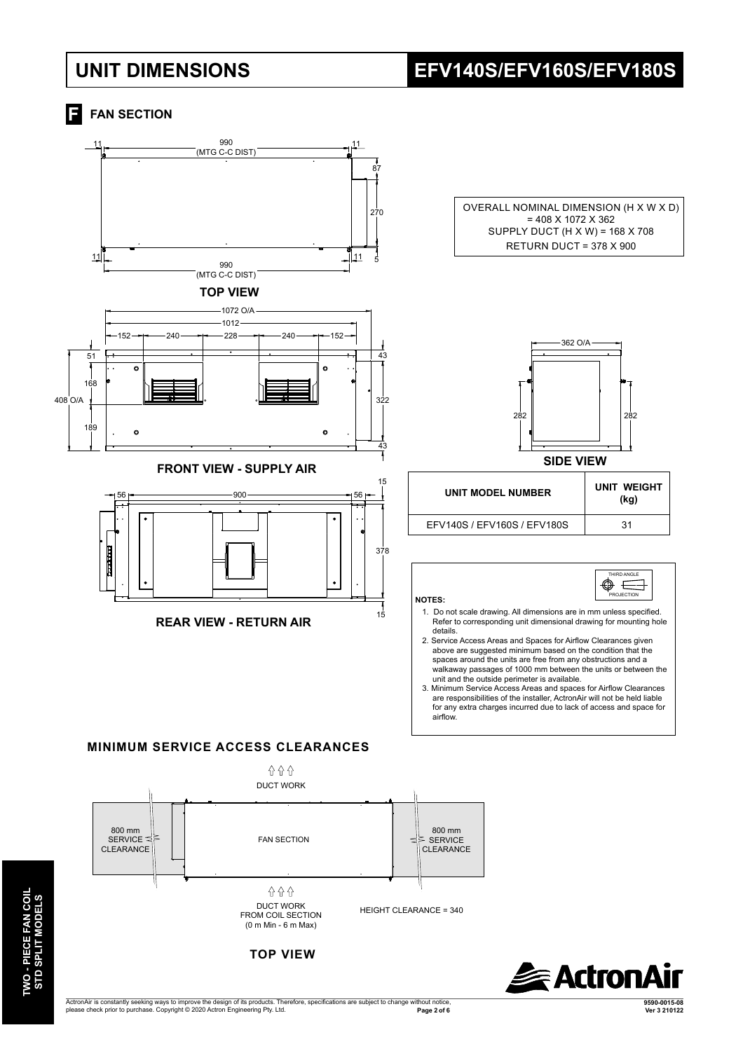# **UNIT DIMENSIONS EFV140S/EFV160S/EFV180S**

**FAN SECTION** 

**TWO - PIECE FAN COIL STD SPLIT MODELS**

**TWO - PIECE FAN COIL<br>STD SPLIT MODELS** 



**9590-0015-08**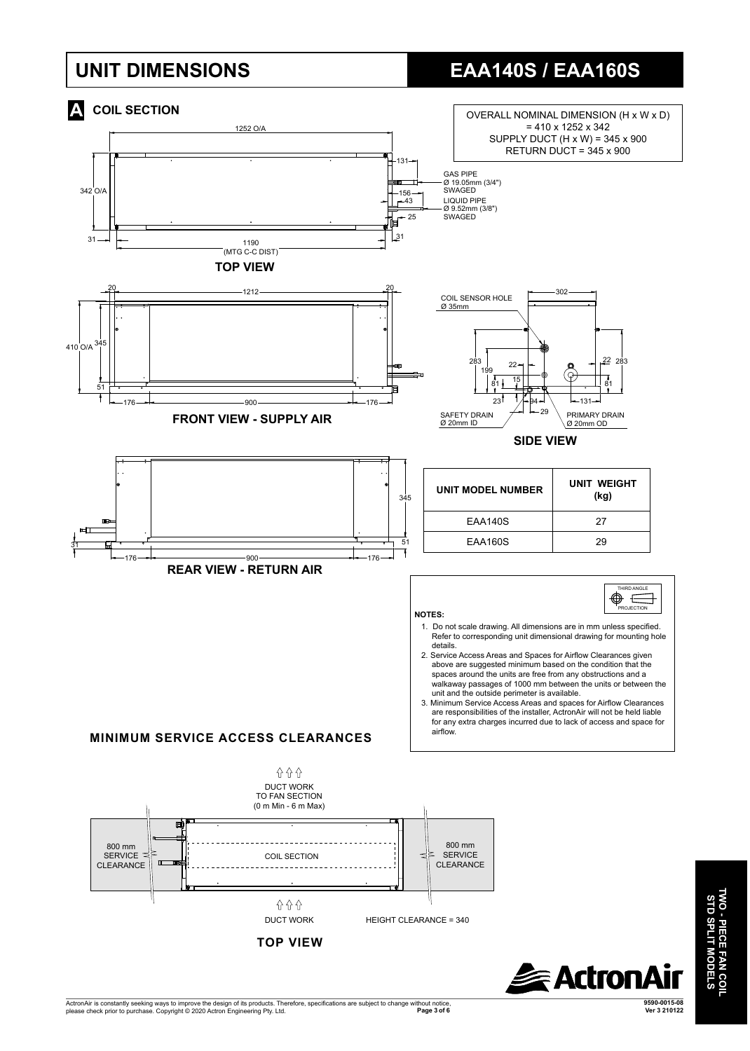# **UNIT DIMENSIONS EAA140S / EAA160S**

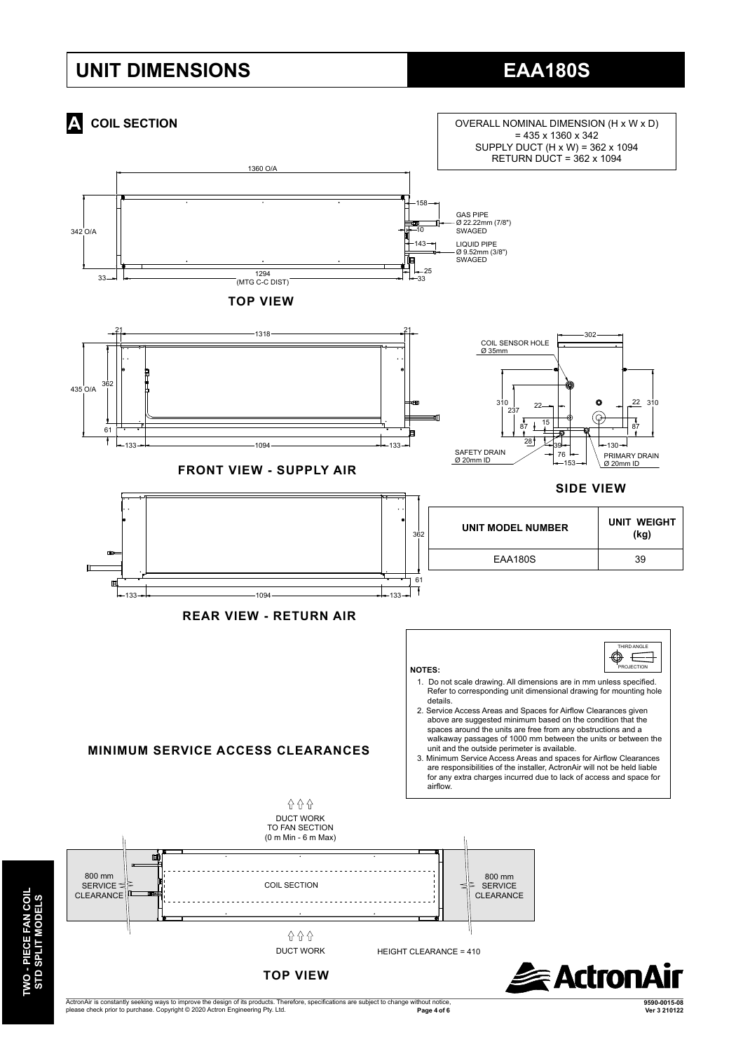# **UNIT DIMENSIONS EAA180S**



ActronAir is constantly seeking ways to improve the design of its products. Therefore, specifications are subject to change without notice,<br>Paqe 4 of 6 صور Paqe 4 of 6  $Page 4 of 6$  **9590-0015-08**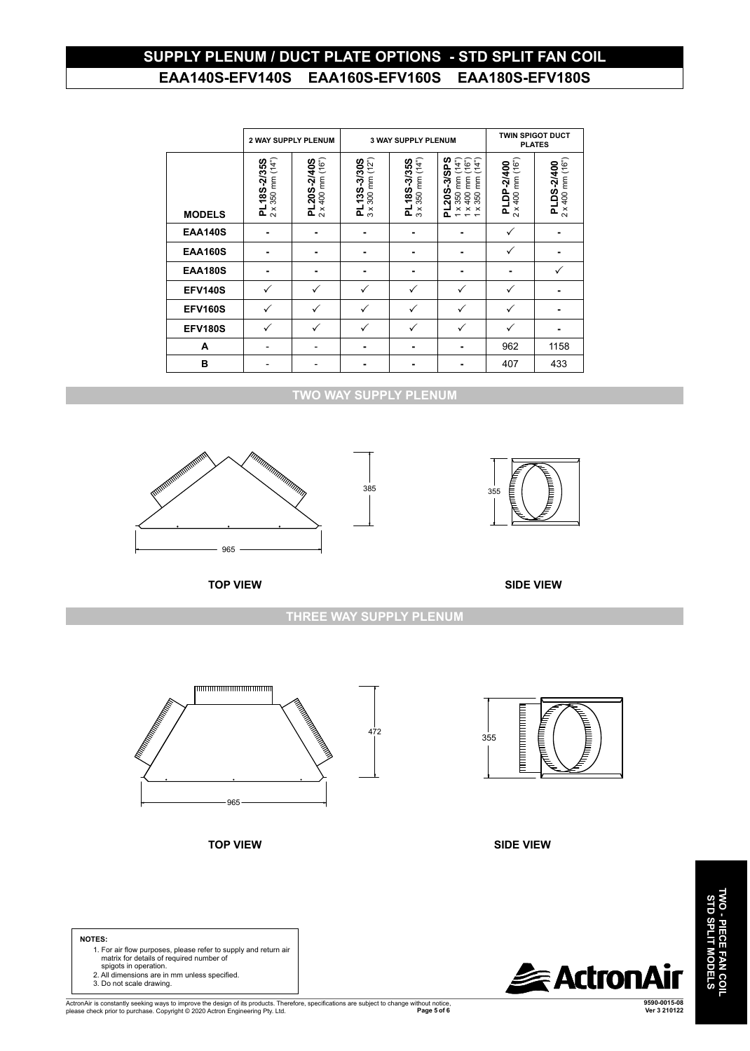## **SUPPLY PLENUM / DUCT PLATE OPTIONS - STD SPLIT FAN COIL** 260 **EAA140S-EFV140S EAA160S-EFV160S EAA180S-EFV180S**

|                |                                          | <b>2 WAY SUPPLY PLENUM</b>          |                                             | <b>3 WAY SUPPLY PLENUM</b>               | <b>TWIN SPIGOT DUCT</b><br><b>PLATES</b>                                                                                                              |                                         |                                         |
|----------------|------------------------------------------|-------------------------------------|---------------------------------------------|------------------------------------------|-------------------------------------------------------------------------------------------------------------------------------------------------------|-----------------------------------------|-----------------------------------------|
| <b>MODELS</b>  | $2 \times 350$ mm $(14")$<br>PL18S-2/35S | $2 x 400$ mm $(16")$<br>PL20S-2/40S | $3 \times 300$ mm $(12^{n})$<br>PL13S-3/30S | $3 \times 350$ mm $(14")$<br>PL18S-3/35S | 20S-3/SPS<br>$(14^{n})$<br>$(400 \text{ mm} (16^{n})$<br>$(350 \text{ mm} (16^{n})$<br>x 400 mm<br>$\pmb{\times}$<br>$\times$<br>ō.<br>$\overline{ }$ | $2 \times 400$ mm $(16")$<br>PLDP-2/400 | $2 \times 400$ mm $(16")$<br>PLDS-2/400 |
| <b>EAA140S</b> |                                          |                                     |                                             |                                          |                                                                                                                                                       | ✓                                       |                                         |
| <b>EAA160S</b> |                                          |                                     |                                             |                                          |                                                                                                                                                       | ✓                                       |                                         |
| <b>EAA180S</b> |                                          |                                     |                                             |                                          |                                                                                                                                                       |                                         | ✓                                       |
| <b>EFV140S</b> | $\checkmark$                             | ✓                                   | ✓                                           | $\checkmark$                             | ✓                                                                                                                                                     | $\checkmark$                            |                                         |
| <b>EFV160S</b> | $\checkmark$                             | ✓                                   | ✓                                           | ✓                                        | ✓                                                                                                                                                     | $\checkmark$                            |                                         |
| <b>EFV180S</b> | $\checkmark$                             | ✓                                   | ✓                                           | $\checkmark$                             | ✓                                                                                                                                                     | ✓                                       |                                         |
| A              |                                          |                                     |                                             |                                          |                                                                                                                                                       | 962                                     | 1158                                    |
| B              |                                          |                                     |                                             |                                          |                                                                                                                                                       | 407                                     | 433                                     |

## **TWO WAY SUPPLY PLENUM TWO WAY SUPPLY PLENUM**

385





**SIDE VIEW**

**THREE WAY SUPPLY PLENUM**

472



965 **TOP VIEW**

355 Contract of the Contract of the Contract of the Contract of the Contract of the Contract of the Contract o



**SIDE VIEW**

### **NOTES:**

- 1. For air flow purposes, please refer to supply and return air matrix for details of required number of<br>
spigots in operation.<br>
2. All dimensions are in mm unless specified.<br>
3. Do not scale drawing.  $\mathbf{s}$  I
	-



**9590-0015-08**

**ExactronA**